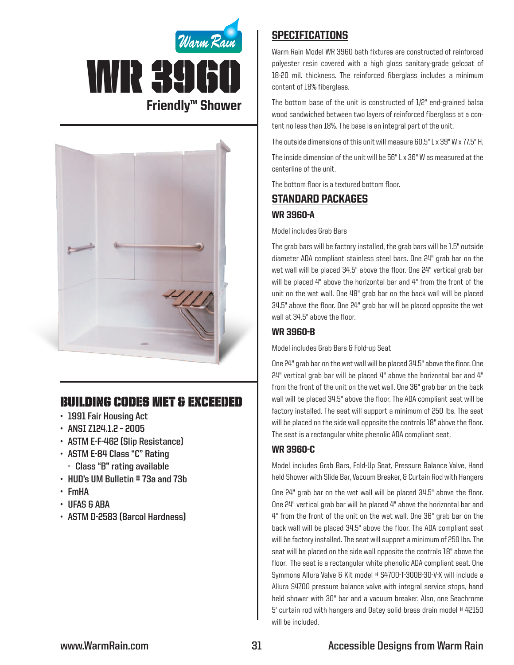



# Building Codes Met & EXCEEDED

- **• 1991 Fair Housing Act**
- **• ANSI Z124.1.2 – 2005**
- **• ASTM E-F-462 (Slip Resistance)**
- **• ASTM E-84 Class "C" Rating**
	- **- Class "B" rating available**
- **• HUD's UM Bulletin # 73a and 73b**
- **• FmHA**
- **• UFAS & ABA**
- **• ASTM D-2583 (Barcol Hardness)**

## **SPECIFICATIONS**

Warm Rain Model WR 3960 bath fixtures are constructed of reinforced polyester resin covered with a high gloss sanitary-grade gelcoat of 18-20 mil. thickness. The reinforced fiberglass includes a minimum content of 18% fiberglass.

The bottom base of the unit is constructed of 1/2" end-grained balsa wood sandwiched between two layers of reinforced fiberglass at a content no less than 18%. The base is an integral part of the unit.

The outside dimensions of this unit will measure 60.5" L x 39" W x 77.5" H.

The inside dimension of the unit will be 56" L x 36" W as measured at the centerline of the unit.

The bottom floor is a textured bottom floor.

### Standard packages

#### WR 3960-A

Model includes Grab Bars

The grab bars will be factory installed, the grab bars will be 1.5" outside diameter ADA compliant stainless steel bars. One 24" grab bar on the wet wall will be placed 34.5" above the floor. One 24" vertical grab bar will be placed 4" above the horizontal bar and 4" from the front of the unit on the wet wall. One 48" grab bar on the back wall will be placed 34.5" above the floor. One 24" grab bar will be placed opposite the wet wall at 34.5" above the floor.

### WR 3960-B

Model includes Grab Bars & Fold-up Seat

One 24" grab bar on the wet wall will be placed 34.5" above the floor. One  $24$ " vertical grab bar will be placed  $4$ " above the horizontal bar and  $4$ " from the front of the unit on the wet wall. One 36" grab bar on the back wall will be placed 34.5" above the floor. The ADA compliant seat will be factory installed. The seat will support a minimum of 250 lbs. The seat will be placed on the side wall opposite the controls 18" above the floor. The seat is a rectangular white phenolic ADA compliant seat.

#### WR 3960-C

Model includes Grab Bars, Fold-Up Seat, Pressure Balance Valve, Hand held Shower with Slide Bar, Vacuum Breaker, & Curtain Rod with Hangers

One 24" grab bar on the wet wall will be placed 34.5" above the floor. One 24" vertical grab bar will be placed 4" above the horizontal bar and 4" from the front of the unit on the wet wall. One 36" grab bar on the back wall will be placed 34.5" above the floor. The ADA compliant seat will be factory installed. The seat will support a minimum of 250 lbs. The seat will be placed on the side wall opposite the controls 18" above the floor. The seat is a rectangular white phenolic ADA compliant seat. One Symmons Allura Valve & Kit model # S4700-T-300B-30-V-X will include a Allura S4700 pressure balance valve with integral service stops, hand held shower with 30" bar and a vacuum breaker. Also, one Seachrome 5' curtain rod with hangers and Oatey solid brass drain model # 42150 will be included.

### **www.WarmRain.com 31 Accessible Designs from Warm Rain**